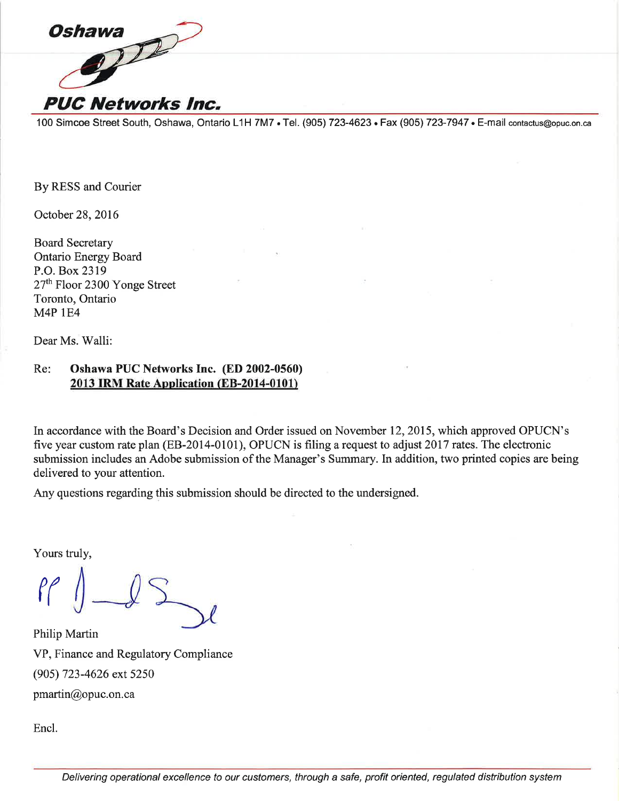

100 Simcoe Street South, Oshawa, Ontario L1H 7M7 . Tel. (905) 723-4623 . Fax (905) 723-7947 . E-mail contactus@opuc.on.ca

By RESS and Courier

October 28, 2016

**Board Secretary Ontario Energy Board** P.O. Box 2319 27<sup>th</sup> Floor 2300 Yonge Street Toronto, Ontario **M4P 1E4** 

Dear Ms. Walli:

#### Re: Oshawa PUC Networks Inc. (ED 2002-0560) 2013 IRM Rate Application (EB-2014-0101)

In accordance with the Board's Decision and Order issued on November 12, 2015, which approved OPUCN's five year custom rate plan (EB-2014-0101), OPUCN is filing a request to adjust 2017 rates. The electronic submission includes an Adobe submission of the Manager's Summary. In addition, two printed copies are being delivered to your attention.

Any questions regarding this submission should be directed to the undersigned.

Yours truly,

 $\ell$ 

Philip Martin VP, Finance and Regulatory Compliance (905) 723-4626 ext 5250 pmartin@opuc.on.ca

Encl.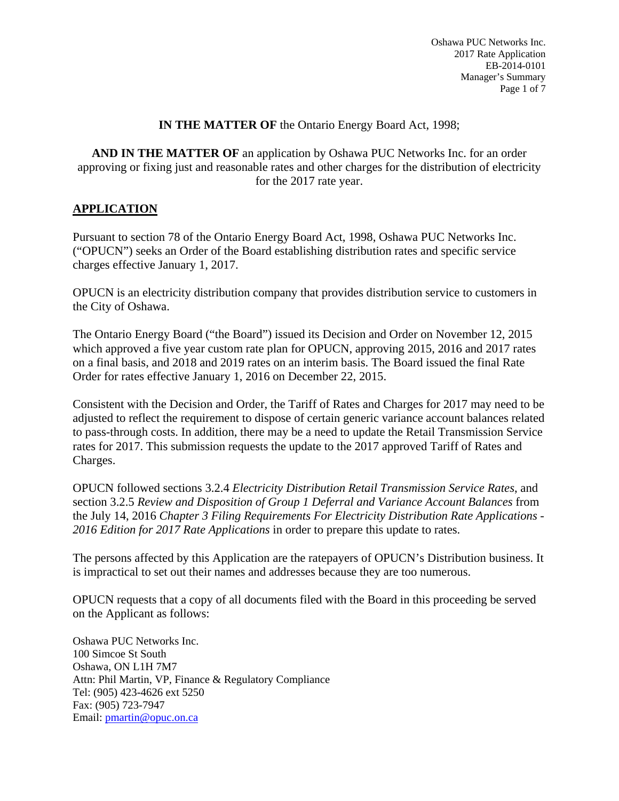#### **IN THE MATTER OF** the Ontario Energy Board Act, 1998;

**AND IN THE MATTER OF** an application by Oshawa PUC Networks Inc. for an order approving or fixing just and reasonable rates and other charges for the distribution of electricity for the 2017 rate year.

#### **APPLICATION**

Pursuant to section 78 of the Ontario Energy Board Act, 1998, Oshawa PUC Networks Inc. ("OPUCN") seeks an Order of the Board establishing distribution rates and specific service charges effective January 1, 2017.

OPUCN is an electricity distribution company that provides distribution service to customers in the City of Oshawa.

The Ontario Energy Board ("the Board") issued its Decision and Order on November 12, 2015 which approved a five year custom rate plan for OPUCN, approving 2015, 2016 and 2017 rates on a final basis, and 2018 and 2019 rates on an interim basis. The Board issued the final Rate Order for rates effective January 1, 2016 on December 22, 2015.

Consistent with the Decision and Order, the Tariff of Rates and Charges for 2017 may need to be adjusted to reflect the requirement to dispose of certain generic variance account balances related to pass-through costs. In addition, there may be a need to update the Retail Transmission Service rates for 2017. This submission requests the update to the 2017 approved Tariff of Rates and Charges.

OPUCN followed sections 3.2.4 *Electricity Distribution Retail Transmission Service Rates*, and section 3.2.5 *Review and Disposition of Group 1 Deferral and Variance Account Balances* from the July 14, 2016 *Chapter 3 Filing Requirements For Electricity Distribution Rate Applications - 2016 Edition for 2017 Rate Applications* in order to prepare this update to rates.

The persons affected by this Application are the ratepayers of OPUCN's Distribution business. It is impractical to set out their names and addresses because they are too numerous.

OPUCN requests that a copy of all documents filed with the Board in this proceeding be served on the Applicant as follows:

Oshawa PUC Networks Inc. 100 Simcoe St South Oshawa, ON L1H 7M7 Attn: Phil Martin, VP, Finance & Regulatory Compliance Tel: (905) 423-4626 ext 5250 Fax: (905) 723-7947 Email: pmartin@opuc.on.ca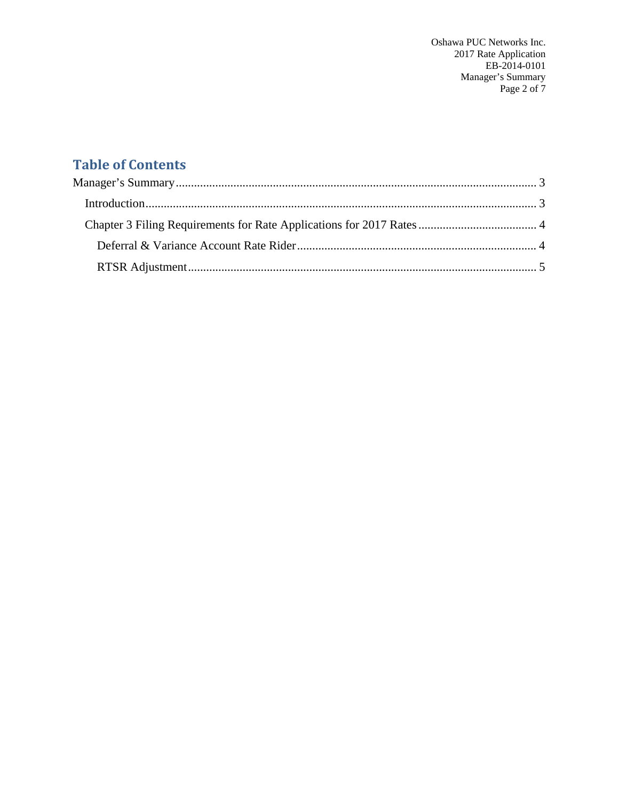Oshawa PUC Networks Inc. 2017 Rate Application EB-2014-0101 Manager's Summary Page 2 of 7

# **Table of Contents**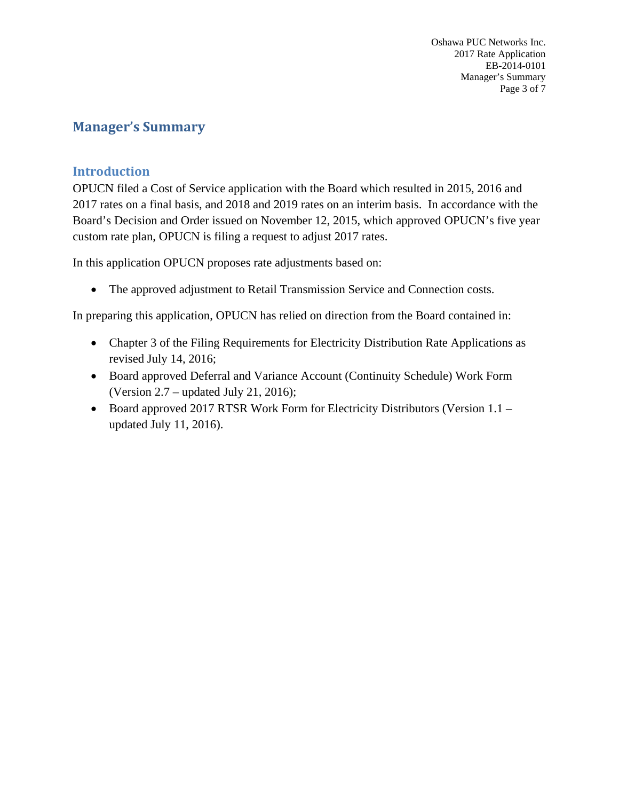Oshawa PUC Networks Inc. 2017 Rate Application EB-2014-0101 Manager's Summary Page 3 of 7

# **Manager's Summary**

### **Introduction**

OPUCN filed a Cost of Service application with the Board which resulted in 2015, 2016 and 2017 rates on a final basis, and 2018 and 2019 rates on an interim basis. In accordance with the Board's Decision and Order issued on November 12, 2015, which approved OPUCN's five year custom rate plan, OPUCN is filing a request to adjust 2017 rates.

In this application OPUCN proposes rate adjustments based on:

• The approved adjustment to Retail Transmission Service and Connection costs.

In preparing this application, OPUCN has relied on direction from the Board contained in:

- Chapter 3 of the Filing Requirements for Electricity Distribution Rate Applications as revised July 14, 2016;
- Board approved Deferral and Variance Account (Continuity Schedule) Work Form (Version 2.7 – updated July 21, 2016);
- Board approved 2017 RTSR Work Form for Electricity Distributors (Version 1.1 updated July 11, 2016).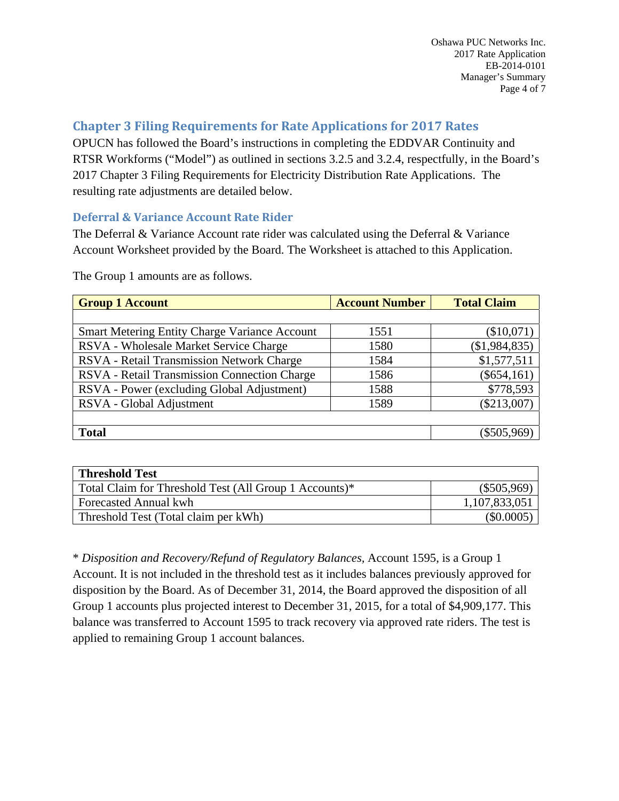# **Chapter 3 Filing Requirements for Rate Applications for 2017 Rates**

OPUCN has followed the Board's instructions in completing the EDDVAR Continuity and RTSR Workforms ("Model") as outlined in sections 3.2.5 and 3.2.4, respectfully, in the Board's 2017 Chapter 3 Filing Requirements for Electricity Distribution Rate Applications. The resulting rate adjustments are detailed below.

#### **Deferral & Variance Account Rate Rider**

The Deferral & Variance Account rate rider was calculated using the Deferral & Variance Account Worksheet provided by the Board. The Worksheet is attached to this Application.

| <b>Account Number</b> | <b>Total Claim</b> |
|-----------------------|--------------------|
|                       |                    |
| 1551                  | (\$10,071)         |
| 1580                  | (\$1,984,835)      |
| 1584                  | \$1,577,511        |
| 1586                  | $(\$654,161)$      |
| 1588                  | \$778,593          |
| 1589                  | $(\$213,007)$      |
|                       |                    |
|                       | $(\$505,969)$      |
|                       |                    |

The Group 1 amounts are as follows.

| <b>Threshold Test</b>                                  |               |
|--------------------------------------------------------|---------------|
| Total Claim for Threshold Test (All Group 1 Accounts)* | $(\$505,969)$ |
| <b>Forecasted Annual kwh</b>                           | 1,107,833,051 |
| Threshold Test (Total claim per kWh)                   | $(\$0.0005)$  |

\* *Disposition and Recovery/Refund of Regulatory Balances,* Account 1595, is a Group 1 Account. It is not included in the threshold test as it includes balances previously approved for disposition by the Board. As of December 31, 2014, the Board approved the disposition of all Group 1 accounts plus projected interest to December 31, 2015, for a total of \$4,909,177. This balance was transferred to Account 1595 to track recovery via approved rate riders. The test is applied to remaining Group 1 account balances.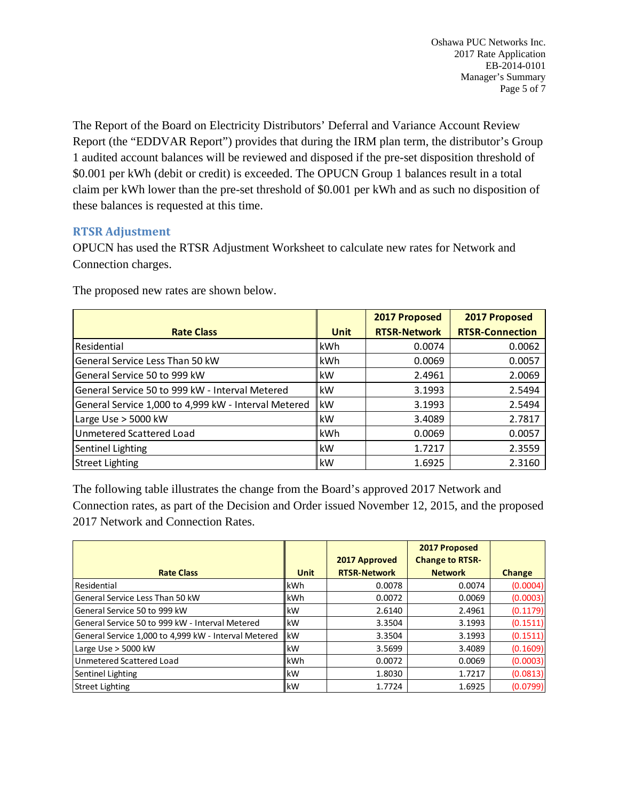The Report of the Board on Electricity Distributors' Deferral and Variance Account Review Report (the "EDDVAR Report") provides that during the IRM plan term, the distributor's Group 1 audited account balances will be reviewed and disposed if the pre-set disposition threshold of \$0.001 per kWh (debit or credit) is exceeded. The OPUCN Group 1 balances result in a total claim per kWh lower than the pre-set threshold of \$0.001 per kWh and as such no disposition of these balances is requested at this time.

#### **RTSR Adjustment**

OPUCN has used the RTSR Adjustment Worksheet to calculate new rates for Network and Connection charges.

|                                                      |             | 2017 Proposed       | 2017 Proposed          |  |
|------------------------------------------------------|-------------|---------------------|------------------------|--|
| <b>Rate Class</b>                                    | <b>Unit</b> | <b>RTSR-Network</b> | <b>RTSR-Connection</b> |  |
| Residential                                          | lkWh        | 0.0074              | 0.0062                 |  |
| General Service Less Than 50 kW                      | lkWh        | 0.0069              | 0.0057                 |  |
| General Service 50 to 999 kW                         | lkW         | 2.4961              | 2.0069                 |  |
| General Service 50 to 999 kW - Interval Metered      | lkW         | 3.1993              | 2.5494                 |  |
| General Service 1,000 to 4,999 kW - Interval Metered | lkW         | 3.1993              | 2.5494                 |  |
| Large Use $>$ 5000 kW                                | lkW         | 3.4089              | 2.7817                 |  |
| Unmetered Scattered Load                             | <b>kWh</b>  | 0.0069              | 0.0057                 |  |
| Sentinel Lighting                                    | lkW         | 1.7217              | 2.3559                 |  |
| <b>Street Lighting</b>                               | lkW         | 1.6925              | 2.3160                 |  |

The proposed new rates are shown below.

The following table illustrates the change from the Board's approved 2017 Network and Connection rates, as part of the Decision and Order issued November 12, 2015, and the proposed 2017 Network and Connection Rates.

|                                                      |             |                     | 2017 Proposed          |               |
|------------------------------------------------------|-------------|---------------------|------------------------|---------------|
|                                                      |             | 2017 Approved       | <b>Change to RTSR-</b> |               |
| <b>Rate Class</b>                                    | <b>Unit</b> | <b>RTSR-Network</b> | <b>Network</b>         | <b>Change</b> |
| Residential                                          | kWh         | 0.0078              | 0.0074                 | (0.0004)      |
| General Service Less Than 50 kW                      | lkWh        | 0.0072              | 0.0069                 | (0.0003)      |
| General Service 50 to 999 kW                         | lkW         | 2.6140              | 2.4961                 | (0.1179)      |
| General Service 50 to 999 kW - Interval Metered      | <b>kW</b>   | 3.3504              | 3.1993                 | (0.1511)      |
| General Service 1,000 to 4,999 kW - Interval Metered | <b>kW</b>   | 3.3504              | 3.1993                 | (0.1511)      |
| Large Use $>$ 5000 kW                                | lkW         | 3.5699              | 3.4089                 | (0.1609)      |
| Unmetered Scattered Load                             | lkWh        | 0.0072              | 0.0069                 | (0.0003)      |
| Sentinel Lighting                                    | <b>kW</b>   | 1.8030              | 1.7217                 | (0.0813)      |
| <b>Street Lighting</b>                               | <b>IkW</b>  | 1.7724              | 1.6925                 | (0.0799)      |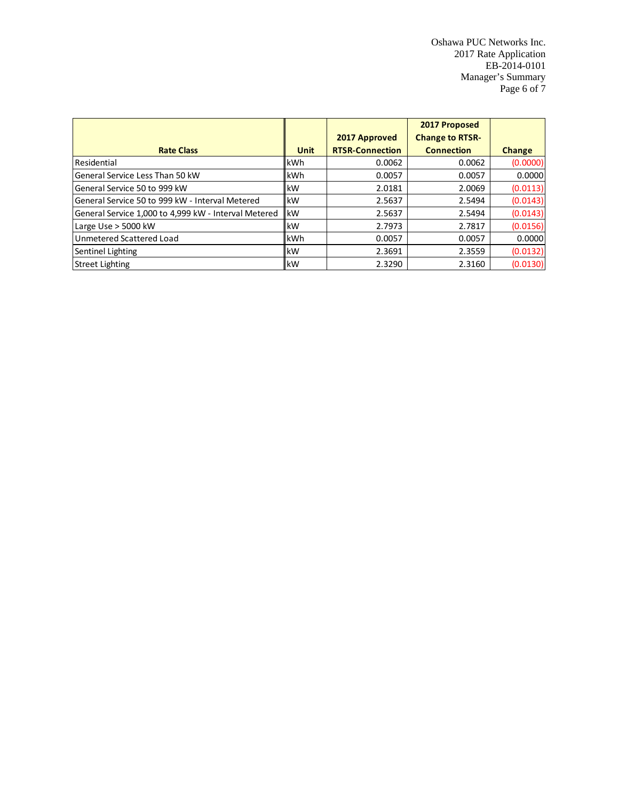Oshawa PUC Networks Inc. 2017 Rate Application EB-2014-0101 Manager's Summary Page 6 of 7

|                                                      |             |                        | 2017 Proposed          |          |
|------------------------------------------------------|-------------|------------------------|------------------------|----------|
|                                                      |             | 2017 Approved          | <b>Change to RTSR-</b> |          |
| <b>Rate Class</b>                                    | <b>Unit</b> | <b>RTSR-Connection</b> | <b>Connection</b>      | Change   |
| Residential                                          | <b>IkWh</b> | 0.0062                 | 0.0062                 | (0.0000) |
| General Service Less Than 50 kW                      | <b>IkWh</b> | 0.0057                 | 0.0057                 | 0.0000   |
| General Service 50 to 999 kW                         | <b>IkW</b>  | 2.0181                 | 2.0069                 | (0.0113) |
| General Service 50 to 999 kW - Interval Metered      | <b>IkW</b>  | 2.5637                 | 2.5494                 | (0.0143) |
| General Service 1,000 to 4,999 kW - Interval Metered | <b>kW</b>   | 2.5637                 | 2.5494                 | (0.0143) |
| Large Use > 5000 kW                                  | <b>IkW</b>  | 2.7973                 | 2.7817                 | (0.0156) |
| Unmetered Scattered Load                             | <b>IkWh</b> | 0.0057                 | 0.0057                 | 0.0000   |
| Sentinel Lighting                                    | <b>IkW</b>  | 2.3691                 | 2.3559                 | (0.0132) |
| <b>Street Lighting</b>                               | <b>IkW</b>  | 2.3290                 | 2.3160                 | (0.0130) |